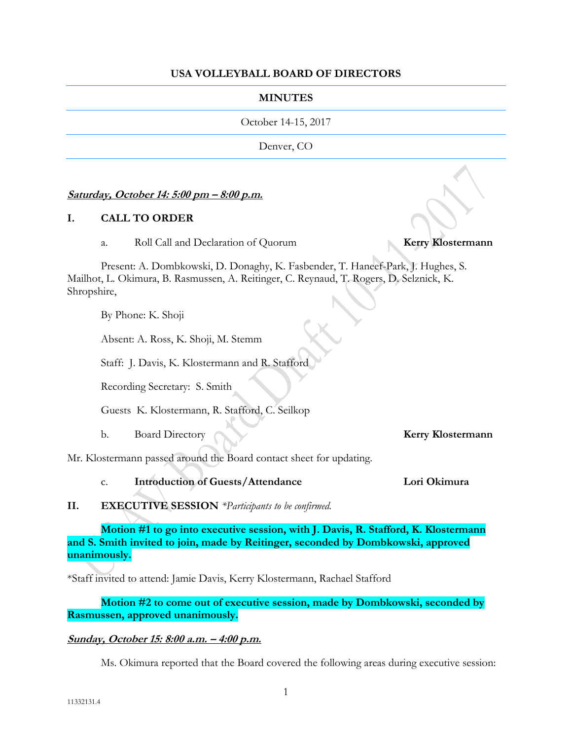#### **USA VOLLEYBALL BOARD OF DIRECTORS**

#### **MINUTES**

October 14-15, 2017

Denver, CO

#### **Saturday, October 14: 5:00 pm – 8:00 p.m.**

#### **I. CALL TO ORDER**

a. Roll Call and Declaration of Quorum **Kerry Klostermann**

Present: A. Dombkowski, D. Donaghy, K. Fasbender, T. Haneef-Park, J. Hughes, S. Mailhot, L. Okimura, B. Rasmussen, A. Reitinger, C. Reynaud, T. Rogers, D. Selznick, K. Shropshire,

By Phone: K. Shoji

Absent: A. Ross, K. Shoji, M. Stemm

Staff: J. Davis, K. Klostermann and R. Stafford

Recording Secretary: S. Smith

Guests K. Klostermann, R. Stafford, C. Seilkop

b. Board Directory **Kerry Klostermann**

Mr. Klostermann passed around the Board contact sheet for updating.

c. **Introduction of Guests/Attendance Lori Okimura**

#### **II. EXECUTIVE SESSION** *\*Participants to be confirmed.*

**Motion #1 to go into executive session, with J. Davis, R. Stafford, K. Klostermann and S. Smith invited to join, made by Reitinger, seconded by Dombkowski, approved unanimously.**

\*Staff invited to attend: Jamie Davis, Kerry Klostermann, Rachael Stafford

**Motion #2 to come out of executive session, made by Dombkowski, seconded by Rasmussen, approved unanimously.**

# **Sunday, October 15: 8:00 a.m. – 4:00 p.m.**

Ms. Okimura reported that the Board covered the following areas during executive session: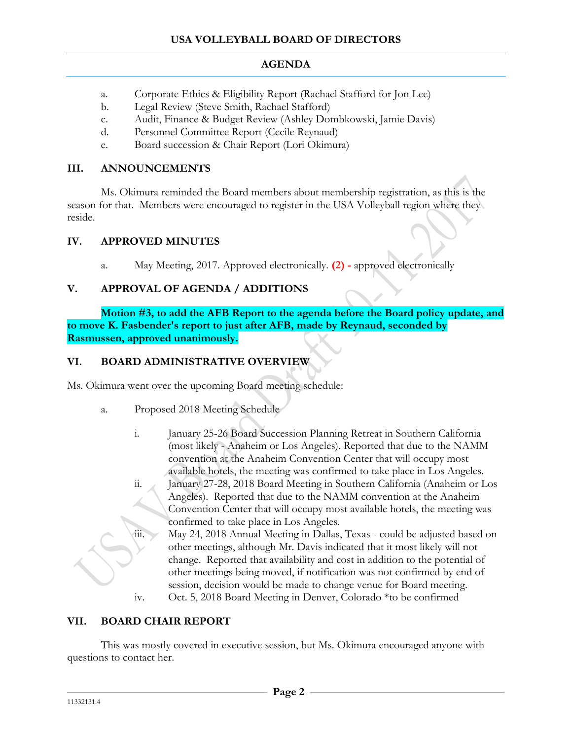- a. Corporate Ethics & Eligibility Report (Rachael Stafford for Jon Lee)
- b. Legal Review (Steve Smith, Rachael Stafford)
- c. Audit, Finance & Budget Review (Ashley Dombkowski, Jamie Davis)
- d. Personnel Committee Report (Cecile Reynaud)
- e. Board succession & Chair Report (Lori Okimura)

# **III. ANNOUNCEMENTS**

Ms. Okimura reminded the Board members about membership registration, as this is the season for that. Members were encouraged to register in the USA Volleyball region where they reside.

# **IV. APPROVED MINUTES**

a. May Meeting, 2017. Approved electronically. **(2) -** approved electronically

# **V. APPROVAL OF AGENDA / ADDITIONS**

**Motion #3, to add the AFB Report to the agenda before the Board policy update, and to move K. Fasbender's report to just after AFB, made by Reynaud, seconded by Rasmussen, approved unanimously.**

# **VI. BOARD ADMINISTRATIVE OVERVIEW**

Ms. Okimura went over the upcoming Board meeting schedule:

- a. Proposed 2018 Meeting Schedule
	- i. January 25-26 Board Succession Planning Retreat in Southern California (most likely - Anaheim or Los Angeles). Reported that due to the NAMM convention at the Anaheim Convention Center that will occupy most available hotels, the meeting was confirmed to take place in Los Angeles.
	- ii. January 27-28, 2018 Board Meeting in Southern California (Anaheim or Los Angeles). Reported that due to the NAMM convention at the Anaheim Convention Center that will occupy most available hotels, the meeting was confirmed to take place in Los Angeles.
	- iii. May 24, 2018 Annual Meeting in Dallas, Texas could be adjusted based on other meetings, although Mr. Davis indicated that it most likely will not change. Reported that availability and cost in addition to the potential of other meetings being moved, if notification was not confirmed by end of session, decision would be made to change venue for Board meeting.
	- iv. Oct. 5, 2018 Board Meeting in Denver, Colorado \*to be confirmed

# **VII. BOARD CHAIR REPORT**

This was mostly covered in executive session, but Ms. Okimura encouraged anyone with questions to contact her.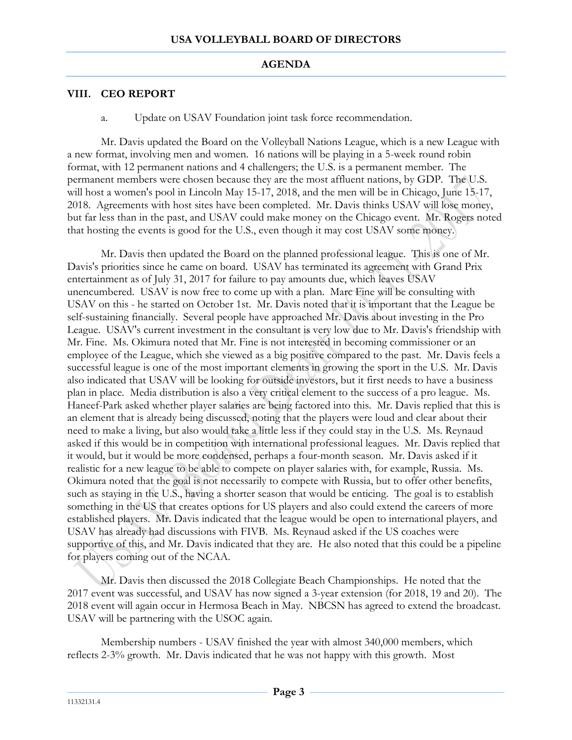# **VIII. CEO REPORT**

a. Update on USAV Foundation joint task force recommendation.

Mr. Davis updated the Board on the Volleyball Nations League, which is a new League with a new format, involving men and women. 16 nations will be playing in a 5-week round robin format, with 12 permanent nations and 4 challengers; the U.S. is a permanent member. The permanent members were chosen because they are the most affluent nations, by GDP. The U.S. will host a women's pool in Lincoln May 15-17, 2018, and the men will be in Chicago, June 15-17, 2018. Agreements with host sites have been completed. Mr. Davis thinks USAV will lose money, but far less than in the past, and USAV could make money on the Chicago event. Mr. Rogers noted that hosting the events is good for the U.S., even though it may cost USAV some money.

Mr. Davis then updated the Board on the planned professional league. This is one of Mr. Davis's priorities since he came on board. USAV has terminated its agreement with Grand Prix entertainment as of July 31, 2017 for failure to pay amounts due, which leaves USAV unencumbered. USAV is now free to come up with a plan. Marc Fine will be consulting with USAV on this - he started on October 1st. Mr. Davis noted that it is important that the League be self-sustaining financially. Several people have approached Mr. Davis about investing in the Pro League. USAV's current investment in the consultant is very low due to Mr. Davis's friendship with Mr. Fine. Ms. Okimura noted that Mr. Fine is not interested in becoming commissioner or an employee of the League, which she viewed as a big positive compared to the past. Mr. Davis feels a successful league is one of the most important elements in growing the sport in the U.S. Mr. Davis also indicated that USAV will be looking for outside investors, but it first needs to have a business plan in place. Media distribution is also a very critical element to the success of a pro league. Ms. Haneef-Park asked whether player salaries are being factored into this. Mr. Davis replied that this is an element that is already being discussed, noting that the players were loud and clear about their need to make a living, but also would take a little less if they could stay in the U.S. Ms. Reynaud asked if this would be in competition with international professional leagues. Mr. Davis replied that it would, but it would be more condensed, perhaps a four-month season. Mr. Davis asked if it realistic for a new league to be able to compete on player salaries with, for example, Russia. Ms. Okimura noted that the goal is not necessarily to compete with Russia, but to offer other benefits, such as staying in the U.S., having a shorter season that would be enticing. The goal is to establish something in the US that creates options for US players and also could extend the careers of more established players. Mr. Davis indicated that the league would be open to international players, and USAV has already had discussions with FIVB. Ms. Reynaud asked if the US coaches were supportive of this, and Mr. Davis indicated that they are. He also noted that this could be a pipeline for players coming out of the NCAA.

Mr. Davis then discussed the 2018 Collegiate Beach Championships. He noted that the 2017 event was successful, and USAV has now signed a 3-year extension (for 2018, 19 and 20). The 2018 event will again occur in Hermosa Beach in May. NBCSN has agreed to extend the broadcast. USAV will be partnering with the USOC again.

Membership numbers - USAV finished the year with almost 340,000 members, which reflects 2-3% growth. Mr. Davis indicated that he was not happy with this growth. Most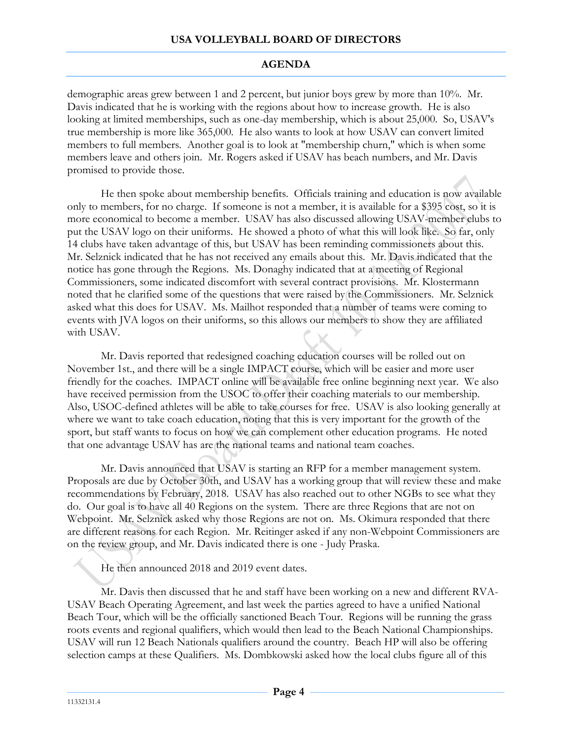demographic areas grew between 1 and 2 percent, but junior boys grew by more than 10%. Mr. Davis indicated that he is working with the regions about how to increase growth. He is also looking at limited memberships, such as one-day membership, which is about 25,000. So, USAV's true membership is more like 365,000. He also wants to look at how USAV can convert limited members to full members. Another goal is to look at "membership churn," which is when some members leave and others join. Mr. Rogers asked if USAV has beach numbers, and Mr. Davis promised to provide those.

He then spoke about membership benefits. Officials training and education is now available only to members, for no charge. If someone is not a member, it is available for a \$395 cost, so it is more economical to become a member. USAV has also discussed allowing USAV-member clubs to put the USAV logo on their uniforms. He showed a photo of what this will look like. So far, only 14 clubs have taken advantage of this, but USAV has been reminding commissioners about this. Mr. Selznick indicated that he has not received any emails about this. Mr. Davis indicated that the notice has gone through the Regions. Ms. Donaghy indicated that at a meeting of Regional Commissioners, some indicated discomfort with several contract provisions. Mr. Klostermann noted that he clarified some of the questions that were raised by the Commissioners. Mr. Selznick asked what this does for USAV. Ms. Mailhot responded that a number of teams were coming to events with JVA logos on their uniforms, so this allows our members to show they are affiliated with USAV.

Mr. Davis reported that redesigned coaching education courses will be rolled out on November 1st., and there will be a single IMPACT course, which will be easier and more user friendly for the coaches. IMPACT online will be available free online beginning next year. We also have received permission from the USOC to offer their coaching materials to our membership. Also, USOC-defined athletes will be able to take courses for free. USAV is also looking generally at where we want to take coach education, noting that this is very important for the growth of the sport, but staff wants to focus on how we can complement other education programs. He noted that one advantage USAV has are the national teams and national team coaches.

Mr. Davis announced that USAV is starting an RFP for a member management system. Proposals are due by October 30th, and USAV has a working group that will review these and make recommendations by February, 2018. USAV has also reached out to other NGBs to see what they do. Our goal is to have all 40 Regions on the system. There are three Regions that are not on Webpoint. Mr. Selznick asked why those Regions are not on. Ms. Okimura responded that there are different reasons for each Region. Mr. Reitinger asked if any non-Webpoint Commissioners are on the review group, and Mr. Davis indicated there is one - Judy Praska.

He then announced 2018 and 2019 event dates.

Mr. Davis then discussed that he and staff have been working on a new and different RVA-USAV Beach Operating Agreement, and last week the parties agreed to have a unified National Beach Tour, which will be the officially sanctioned Beach Tour. Regions will be running the grass roots events and regional qualifiers, which would then lead to the Beach National Championships. USAV will run 12 Beach Nationals qualifiers around the country. Beach HP will also be offering selection camps at these Qualifiers. Ms. Dombkowski asked how the local clubs figure all of this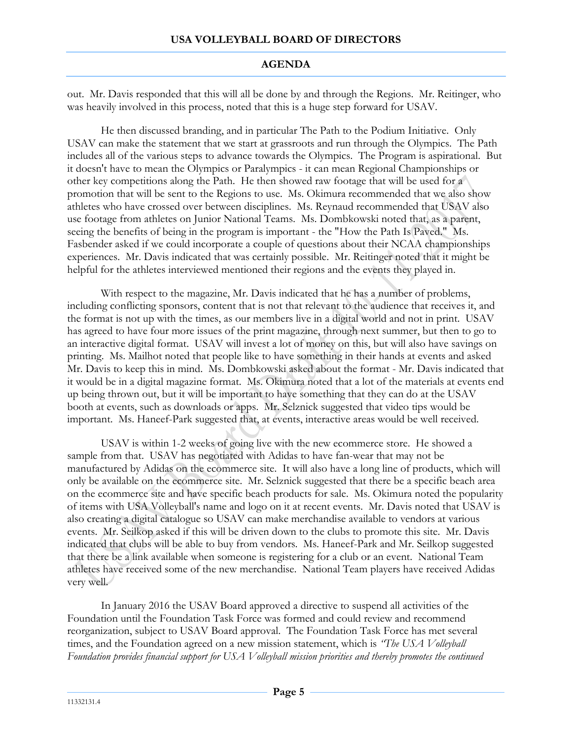out. Mr. Davis responded that this will all be done by and through the Regions. Mr. Reitinger, who was heavily involved in this process, noted that this is a huge step forward for USAV.

He then discussed branding, and in particular The Path to the Podium Initiative. Only USAV can make the statement that we start at grassroots and run through the Olympics. The Path includes all of the various steps to advance towards the Olympics. The Program is aspirational. But it doesn't have to mean the Olympics or Paralympics - it can mean Regional Championships or other key competitions along the Path. He then showed raw footage that will be used for a promotion that will be sent to the Regions to use. Ms. Okimura recommended that we also show athletes who have crossed over between disciplines. Ms. Reynaud recommended that USAV also use footage from athletes on Junior National Teams. Ms. Dombkowski noted that, as a parent, seeing the benefits of being in the program is important - the "How the Path Is Paved." Ms. Fasbender asked if we could incorporate a couple of questions about their NCAA championships experiences. Mr. Davis indicated that was certainly possible. Mr. Reitinger noted that it might be helpful for the athletes interviewed mentioned their regions and the events they played in.

With respect to the magazine, Mr. Davis indicated that he has a number of problems, including conflicting sponsors, content that is not that relevant to the audience that receives it, and the format is not up with the times, as our members live in a digital world and not in print. USAV has agreed to have four more issues of the print magazine, through next summer, but then to go to an interactive digital format. USAV will invest a lot of money on this, but will also have savings on printing. Ms. Mailhot noted that people like to have something in their hands at events and asked Mr. Davis to keep this in mind. Ms. Dombkowski asked about the format - Mr. Davis indicated that it would be in a digital magazine format. Ms. Okimura noted that a lot of the materials at events end up being thrown out, but it will be important to have something that they can do at the USAV booth at events, such as downloads or apps. Mr. Selznick suggested that video tips would be important. Ms. Haneef-Park suggested that, at events, interactive areas would be well received.

USAV is within 1-2 weeks of going live with the new ecommerce store. He showed a sample from that. USAV has negotiated with Adidas to have fan-wear that may not be manufactured by Adidas on the ecommerce site. It will also have a long line of products, which will only be available on the ecommerce site. Mr. Selznick suggested that there be a specific beach area on the ecommerce site and have specific beach products for sale. Ms. Okimura noted the popularity of items with USA Volleyball's name and logo on it at recent events. Mr. Davis noted that USAV is also creating a digital catalogue so USAV can make merchandise available to vendors at various events. Mr. Seilkop asked if this will be driven down to the clubs to promote this site. Mr. Davis indicated that clubs will be able to buy from vendors. Ms. Haneef-Park and Mr. Seilkop suggested that there be a link available when someone is registering for a club or an event. National Team athletes have received some of the new merchandise. National Team players have received Adidas very well.

In January 2016 the USAV Board approved a directive to suspend all activities of the Foundation until the Foundation Task Force was formed and could review and recommend reorganization, subject to USAV Board approval. The Foundation Task Force has met several times, and the Foundation agreed on a new mission statement, which is *"The USA Volleyball Foundation provides financial support for USA Volleyball mission priorities and thereby promotes the continued*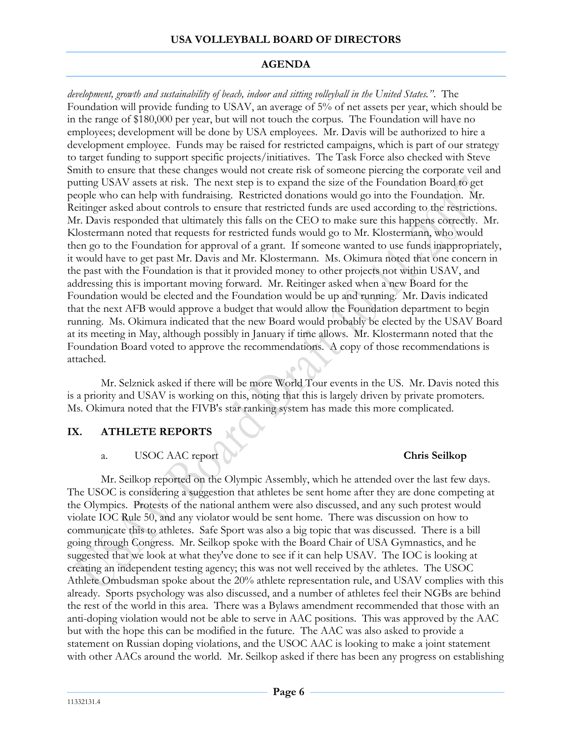### **USA VOLLEYBALL BOARD OF DIRECTORS**

# **AGENDA**

*development, growth and sustainability of beach, indoor and sitting volleyball in the United States."*. The Foundation will provide funding to USAV, an average of 5% of net assets per year, which should be in the range of \$180,000 per year, but will not touch the corpus. The Foundation will have no employees; development will be done by USA employees. Mr. Davis will be authorized to hire a development employee. Funds may be raised for restricted campaigns, which is part of our strategy to target funding to support specific projects/initiatives. The Task Force also checked with Steve Smith to ensure that these changes would not create risk of someone piercing the corporate veil and putting USAV assets at risk. The next step is to expand the size of the Foundation Board to get people who can help with fundraising. Restricted donations would go into the Foundation. Mr. Reitinger asked about controls to ensure that restricted funds are used according to the restrictions. Mr. Davis responded that ultimately this falls on the CEO to make sure this happens correctly. Mr. Klostermann noted that requests for restricted funds would go to Mr. Klostermann, who would then go to the Foundation for approval of a grant. If someone wanted to use funds inappropriately, it would have to get past Mr. Davis and Mr. Klostermann. Ms. Okimura noted that one concern in the past with the Foundation is that it provided money to other projects not within USAV, and addressing this is important moving forward. Mr. Reitinger asked when a new Board for the Foundation would be elected and the Foundation would be up and running. Mr. Davis indicated that the next AFB would approve a budget that would allow the Foundation department to begin running. Ms. Okimura indicated that the new Board would probably be elected by the USAV Board at its meeting in May, although possibly in January if time allows. Mr. Klostermann noted that the Foundation Board voted to approve the recommendations. A copy of those recommendations is attached.

Mr. Selznick asked if there will be more World Tour events in the US. Mr. Davis noted this is a priority and USAV is working on this, noting that this is largely driven by private promoters. Ms. Okimura noted that the FIVB's star ranking system has made this more complicated.

# **IX. ATHLETE REPORTS**

# a. USOC AAC report **Chris Seilkop**

Mr. Seilkop reported on the Olympic Assembly, which he attended over the last few days. The USOC is considering a suggestion that athletes be sent home after they are done competing at the Olympics. Protests of the national anthem were also discussed, and any such protest would violate IOC Rule 50, and any violator would be sent home. There was discussion on how to communicate this to athletes. Safe Sport was also a big topic that was discussed. There is a bill going through Congress. Mr. Seilkop spoke with the Board Chair of USA Gymnastics, and he suggested that we look at what they've done to see if it can help USAV. The IOC is looking at creating an independent testing agency; this was not well received by the athletes. The USOC Athlete Ombudsman spoke about the 20% athlete representation rule, and USAV complies with this already. Sports psychology was also discussed, and a number of athletes feel their NGBs are behind the rest of the world in this area. There was a Bylaws amendment recommended that those with an anti-doping violation would not be able to serve in AAC positions. This was approved by the AAC but with the hope this can be modified in the future. The AAC was also asked to provide a statement on Russian doping violations, and the USOC AAC is looking to make a joint statement with other AACs around the world. Mr. Seilkop asked if there has been any progress on establishing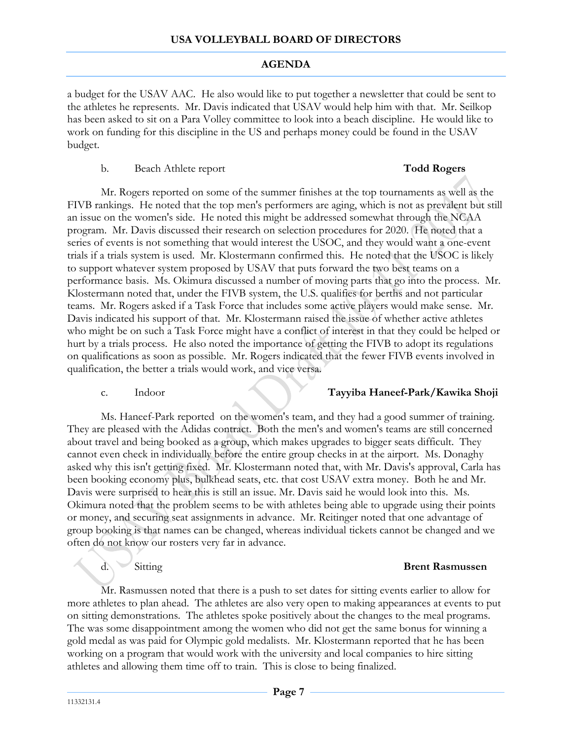a budget for the USAV AAC. He also would like to put together a newsletter that could be sent to the athletes he represents. Mr. Davis indicated that USAV would help him with that. Mr. Seilkop has been asked to sit on a Para Volley committee to look into a beach discipline. He would like to work on funding for this discipline in the US and perhaps money could be found in the USAV budget.

#### b. Beach Athlete report **Todd Rogers**

Mr. Rogers reported on some of the summer finishes at the top tournaments as well as the FIVB rankings. He noted that the top men's performers are aging, which is not as prevalent but still an issue on the women's side. He noted this might be addressed somewhat through the NCAA program. Mr. Davis discussed their research on selection procedures for 2020. He noted that a series of events is not something that would interest the USOC, and they would want a one-event trials if a trials system is used. Mr. Klostermann confirmed this. He noted that the USOC is likely to support whatever system proposed by USAV that puts forward the two best teams on a performance basis. Ms. Okimura discussed a number of moving parts that go into the process. Mr. Klostermann noted that, under the FIVB system, the U.S. qualifies for berths and not particular teams. Mr. Rogers asked if a Task Force that includes some active players would make sense. Mr. Davis indicated his support of that. Mr. Klostermann raised the issue of whether active athletes who might be on such a Task Force might have a conflict of interest in that they could be helped or hurt by a trials process. He also noted the importance of getting the FIVB to adopt its regulations on qualifications as soon as possible. Mr. Rogers indicated that the fewer FIVB events involved in qualification, the better a trials would work, and vice versa.

# c. Indoor **Tayyiba Haneef-Park/Kawika Shoji**

Ms. Haneef-Park reported on the women's team, and they had a good summer of training. They are pleased with the Adidas contract. Both the men's and women's teams are still concerned about travel and being booked as a group, which makes upgrades to bigger seats difficult. They cannot even check in individually before the entire group checks in at the airport. Ms. Donaghy asked why this isn't getting fixed. Mr. Klostermann noted that, with Mr. Davis's approval, Carla has been booking economy plus, bulkhead seats, etc. that cost USAV extra money. Both he and Mr. Davis were surprised to hear this is still an issue. Mr. Davis said he would look into this. Ms. Okimura noted that the problem seems to be with athletes being able to upgrade using their points or money, and securing seat assignments in advance. Mr. Reitinger noted that one advantage of group booking is that names can be changed, whereas individual tickets cannot be changed and we often do not know our rosters very far in advance.

### d. Sitting **Brent Rasmussen**

Mr. Rasmussen noted that there is a push to set dates for sitting events earlier to allow for more athletes to plan ahead. The athletes are also very open to making appearances at events to put on sitting demonstrations. The athletes spoke positively about the changes to the meal programs. The was some disappointment among the women who did not get the same bonus for winning a gold medal as was paid for Olympic gold medalists. Mr. Klostermann reported that he has been working on a program that would work with the university and local companies to hire sitting athletes and allowing them time off to train. This is close to being finalized.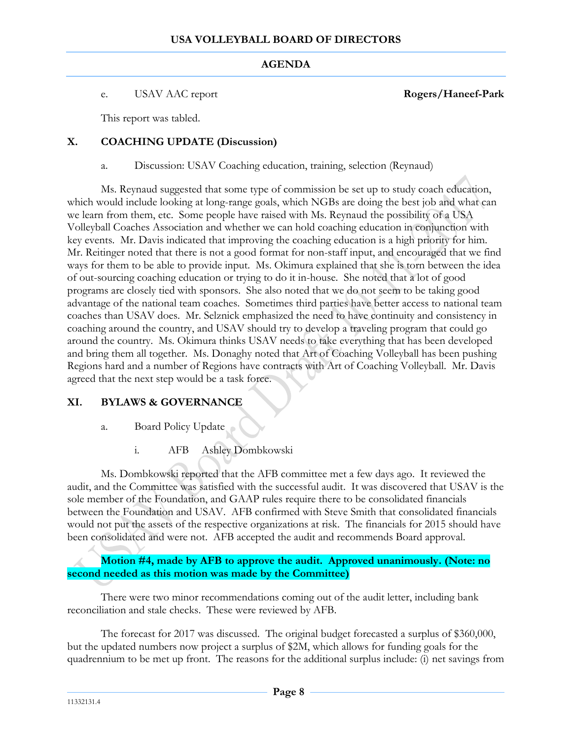#### e. USAV AAC report **Rogers/Haneef-Park**

This report was tabled.

# **X. COACHING UPDATE (Discussion)**

a. Discussion: USAV Coaching education, training, selection (Reynaud)

Ms. Reynaud suggested that some type of commission be set up to study coach education, which would include looking at long-range goals, which NGBs are doing the best job and what can we learn from them, etc. Some people have raised with Ms. Reynaud the possibility of a USA Volleyball Coaches Association and whether we can hold coaching education in conjunction with key events. Mr. Davis indicated that improving the coaching education is a high priority for him. Mr. Reitinger noted that there is not a good format for non-staff input, and encouraged that we find ways for them to be able to provide input. Ms. Okimura explained that she is torn between the idea of out-sourcing coaching education or trying to do it in-house. She noted that a lot of good programs are closely tied with sponsors. She also noted that we do not seem to be taking good advantage of the national team coaches. Sometimes third parties have better access to national team coaches than USAV does. Mr. Selznick emphasized the need to have continuity and consistency in coaching around the country, and USAV should try to develop a traveling program that could go around the country. Ms. Okimura thinks USAV needs to take everything that has been developed and bring them all together. Ms. Donaghy noted that Art of Coaching Volleyball has been pushing Regions hard and a number of Regions have contracts with Art of Coaching Volleyball. Mr. Davis agreed that the next step would be a task force.

# **XI. BYLAWS & GOVERNANCE**

- a. Board Policy Update
	- i. AFB Ashley Dombkowski

Ms. Dombkowski reported that the AFB committee met a few days ago. It reviewed the audit, and the Committee was satisfied with the successful audit. It was discovered that USAV is the sole member of the Foundation, and GAAP rules require there to be consolidated financials between the Foundation and USAV. AFB confirmed with Steve Smith that consolidated financials would not put the assets of the respective organizations at risk. The financials for 2015 should have been consolidated and were not. AFB accepted the audit and recommends Board approval.

**Motion #4, made by AFB to approve the audit. Approved unanimously. (Note: no second needed as this motion was made by the Committee)**

There were two minor recommendations coming out of the audit letter, including bank reconciliation and stale checks. These were reviewed by AFB.

The forecast for 2017 was discussed. The original budget forecasted a surplus of \$360,000, but the updated numbers now project a surplus of \$2M, which allows for funding goals for the quadrennium to be met up front. The reasons for the additional surplus include: (i) net savings from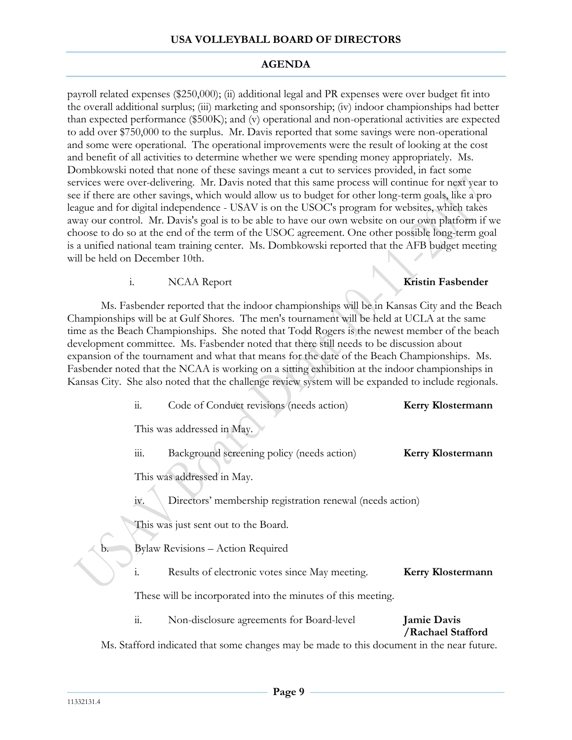payroll related expenses (\$250,000); (ii) additional legal and PR expenses were over budget fit into the overall additional surplus; (iii) marketing and sponsorship; (iv) indoor championships had better than expected performance (\$500K); and (v) operational and non-operational activities are expected to add over \$750,000 to the surplus. Mr. Davis reported that some savings were non-operational and some were operational. The operational improvements were the result of looking at the cost and benefit of all activities to determine whether we were spending money appropriately. Ms. Dombkowski noted that none of these savings meant a cut to services provided, in fact some services were over-delivering. Mr. Davis noted that this same process will continue for next year to see if there are other savings, which would allow us to budget for other long-term goals, like a pro league and for digital independence - USAV is on the USOC's program for websites, which takes away our control. Mr. Davis's goal is to be able to have our own website on our own platform if we choose to do so at the end of the term of the USOC agreement. One other possible long-term goal is a unified national team training center. Ms. Dombkowski reported that the AFB budget meeting will be held on December 10th.

i. NCAA Report **Kristin Fasbender**

Ms. Fasbender reported that the indoor championships will be in Kansas City and the Beach Championships will be at Gulf Shores. The men's tournament will be held at UCLA at the same time as the Beach Championships. She noted that Todd Rogers is the newest member of the beach development committee. Ms. Fasbender noted that there still needs to be discussion about expansion of the tournament and what that means for the date of the Beach Championships. Ms. Fasbender noted that the NCAA is working on a sitting exhibition at the indoor championships in Kansas City. She also noted that the challenge review system will be expanded to include regionals.

| $\dddot{\mathbf{1}}$   | Code of Conduct revisions (needs action)                  | <b>Kerry Klostermann</b>                                                                                                                                                                                                                                                                                  |
|------------------------|-----------------------------------------------------------|-----------------------------------------------------------------------------------------------------------------------------------------------------------------------------------------------------------------------------------------------------------------------------------------------------------|
|                        |                                                           |                                                                                                                                                                                                                                                                                                           |
| 111.                   | Background screening policy (needs action)                | <b>Kerry Klostermann</b>                                                                                                                                                                                                                                                                                  |
|                        |                                                           |                                                                                                                                                                                                                                                                                                           |
| iv.                    | Directors' membership registration renewal (needs action) |                                                                                                                                                                                                                                                                                                           |
|                        |                                                           |                                                                                                                                                                                                                                                                                                           |
|                        |                                                           |                                                                                                                                                                                                                                                                                                           |
| $\mathbf{1}$           | Results of electronic votes since May meeting.            | <b>Kerry Klostermann</b>                                                                                                                                                                                                                                                                                  |
|                        |                                                           |                                                                                                                                                                                                                                                                                                           |
| $\dddot{\mathbf{1}}$ . | Non-disclosure agreements for Board-level                 | <b>Jamie Davis</b>                                                                                                                                                                                                                                                                                        |
|                        |                                                           | /Rachael Stafford                                                                                                                                                                                                                                                                                         |
|                        |                                                           | This was addressed in May.<br>This was addressed in May.<br>This was just sent out to the Board.<br><b>Bylaw Revisions - Action Required</b><br>These will be incorporated into the minutes of this meeting.<br>Ms. Stafford indicated that some changes may be made to this document in the near future. |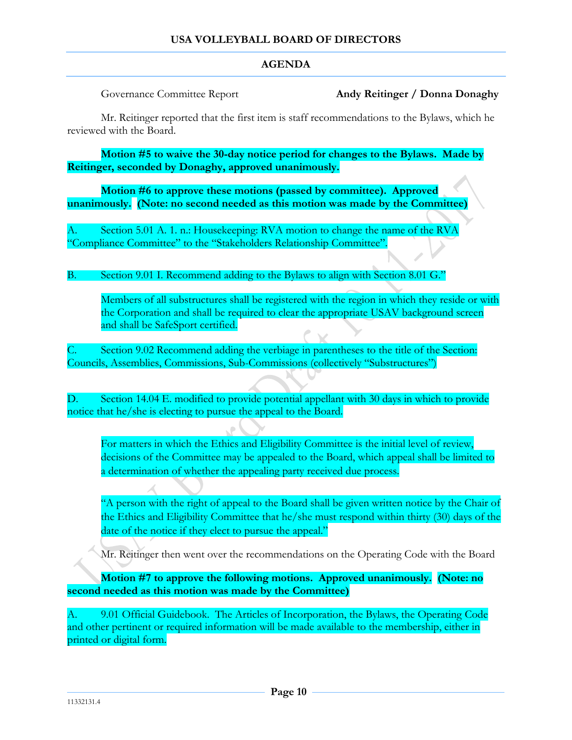Governance Committee Report **Andy Reitinger / Donna Donaghy**

Mr. Reitinger reported that the first item is staff recommendations to the Bylaws, which he reviewed with the Board.

**Motion #5 to waive the 30-day notice period for changes to the Bylaws. Made by Reitinger, seconded by Donaghy, approved unanimously.**

**Motion #6 to approve these motions (passed by committee). Approved unanimously. (Note: no second needed as this motion was made by the Committee)**

A. Section 5.01 A. 1. n.: Housekeeping: RVA motion to change the name of the RVA "Compliance Committee" to the "Stakeholders Relationship Committee".

B. Section 9.01 I. Recommend adding to the Bylaws to align with Section 8.01 G."

Members of all substructures shall be registered with the region in which they reside or with the Corporation and shall be required to clear the appropriate USAV background screen and shall be SafeSport certified.

Section 9.02 Recommend adding the verbiage in parentheses to the title of the Section: Councils, Assemblies, Commissions, Sub-Commissions (collectively "Substructures")

D. Section 14.04 E. modified to provide potential appellant with 30 days in which to provide notice that he/she is electing to pursue the appeal to the Board.

For matters in which the Ethics and Eligibility Committee is the initial level of review, decisions of the Committee may be appealed to the Board, which appeal shall be limited to a determination of whether the appealing party received due process.

"A person with the right of appeal to the Board shall be given written notice by the Chair of the Ethics and Eligibility Committee that he/she must respond within thirty (30) days of the date of the notice if they elect to pursue the appeal."

Mr. Reitinger then went over the recommendations on the Operating Code with the Board

**Motion #7 to approve the following motions. Approved unanimously. (Note: no second needed as this motion was made by the Committee)**

A. 9.01 Official Guidebook. The Articles of Incorporation, the Bylaws, the Operating Code and other pertinent or required information will be made available to the membership, either in printed or digital form.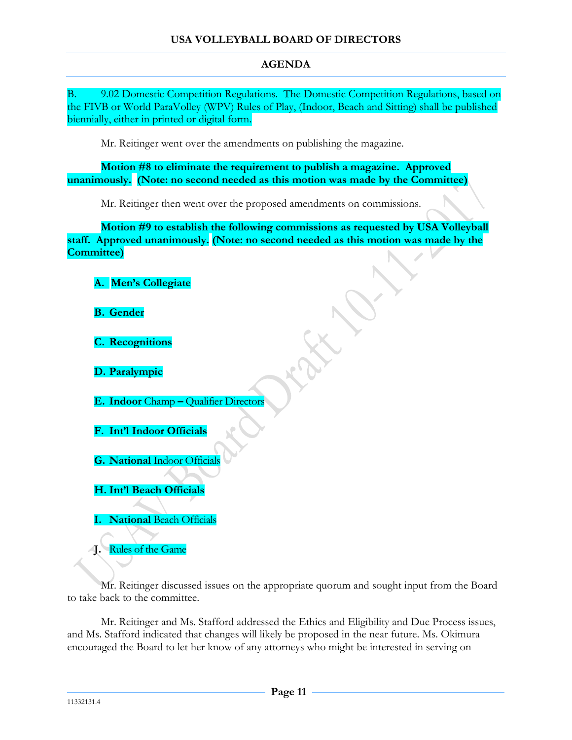B. 9.02 Domestic Competition Regulations. The Domestic Competition Regulations, based on the FIVB or World ParaVolley (WPV) Rules of Play, (Indoor, Beach and Sitting) shall be published biennially, either in printed or digital form.

Mr. Reitinger went over the amendments on publishing the magazine.

**Motion #8 to eliminate the requirement to publish a magazine. Approved unanimously. (Note: no second needed as this motion was made by the Committee)**

Mr. Reitinger then went over the proposed amendments on commissions.

**Motion #9 to establish the following commissions as requested by USA Volleyball staff. Approved unanimously. (Note: no second needed as this motion was made by the Committee)**

|  | A. Men's Collegiate |  |
|--|---------------------|--|

- **B. Gender**
- **C. Recognitions**
- **D. Paralympic**
- **E. Indoor** Champ **–** Qualifier Directors
- **F. Int'l Indoor Officials**
- **G. National** Indoor Officials
- **H. Int'l Beach Officials**
- **I. National** Beach Officials

**J.** Rules of the Game

Mr. Reitinger discussed issues on the appropriate quorum and sought input from the Board to take back to the committee.

Mr. Reitinger and Ms. Stafford addressed the Ethics and Eligibility and Due Process issues, and Ms. Stafford indicated that changes will likely be proposed in the near future. Ms. Okimura encouraged the Board to let her know of any attorneys who might be interested in serving on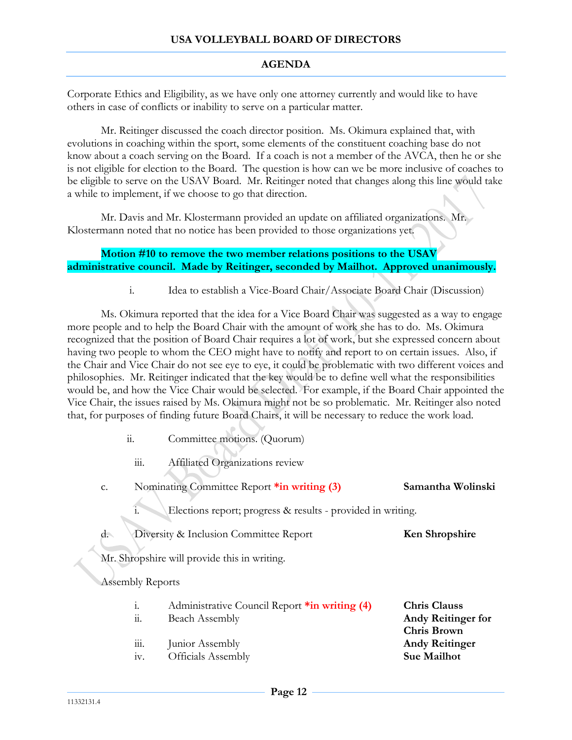Corporate Ethics and Eligibility, as we have only one attorney currently and would like to have others in case of conflicts or inability to serve on a particular matter.

Mr. Reitinger discussed the coach director position. Ms. Okimura explained that, with evolutions in coaching within the sport, some elements of the constituent coaching base do not know about a coach serving on the Board. If a coach is not a member of the AVCA, then he or she is not eligible for election to the Board. The question is how can we be more inclusive of coaches to be eligible to serve on the USAV Board. Mr. Reitinger noted that changes along this line would take a while to implement, if we choose to go that direction.

Mr. Davis and Mr. Klostermann provided an update on affiliated organizations. Mr. Klostermann noted that no notice has been provided to those organizations yet.

### **Motion #10 to remove the two member relations positions to the USAV administrative council. Made by Reitinger, seconded by Mailhot. Approved unanimously.**

i. Idea to establish a Vice-Board Chair/Associate Board Chair (Discussion)

Ms. Okimura reported that the idea for a Vice Board Chair was suggested as a way to engage more people and to help the Board Chair with the amount of work she has to do. Ms. Okimura recognized that the position of Board Chair requires a lot of work, but she expressed concern about having two people to whom the CEO might have to notify and report to on certain issues. Also, if the Chair and Vice Chair do not see eye to eye, it could be problematic with two different voices and philosophies. Mr. Reitinger indicated that the key would be to define well what the responsibilities would be, and how the Vice Chair would be selected. For example, if the Board Chair appointed the Vice Chair, the issues raised by Ms. Okimura might not be so problematic. Mr. Reitinger also noted that, for purposes of finding future Board Chairs, it will be necessary to reduce the work load.

- ii. Committee motions. (Quorum)
	- iii. Affiliated Organizations review
- c. Nominating Committee Report **\*in writing (3) Samantha Wolinski**
	- Elections report; progress & results provided in writing.
- d. Diversity & Inclusion Committee Report **Ken Shropshire**

Mr. Shropshire will provide this in writing.

Assembly Reports

- i. Administrative Council Report **\*in writing (4) Chris Clauss**
- 
- iii. Junior Assembly **Andy Reitinger**
- iv. Officials Assembly **Sue Mailhot**
- ii. Beach Assembly **Andy Reitinger for Chris Brown**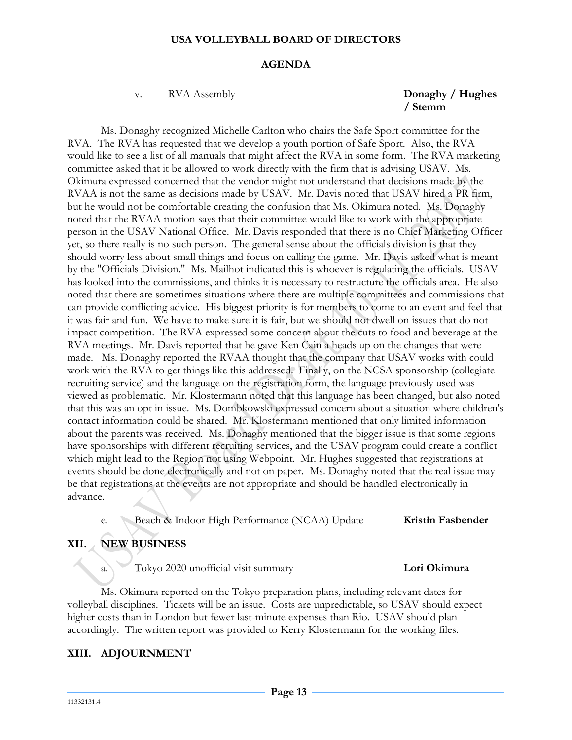v. RVA Assembly **Donaghy / Hughes** 

# **/ Stemm**

Ms. Donaghy recognized Michelle Carlton who chairs the Safe Sport committee for the RVA. The RVA has requested that we develop a youth portion of Safe Sport. Also, the RVA would like to see a list of all manuals that might affect the RVA in some form. The RVA marketing committee asked that it be allowed to work directly with the firm that is advising USAV. Ms. Okimura expressed concerned that the vendor might not understand that decisions made by the RVAA is not the same as decisions made by USAV. Mr. Davis noted that USAV hired a PR firm, but he would not be comfortable creating the confusion that Ms. Okimura noted. Ms. Donaghy noted that the RVAA motion says that their committee would like to work with the appropriate person in the USAV National Office. Mr. Davis responded that there is no Chief Marketing Officer yet, so there really is no such person. The general sense about the officials division is that they should worry less about small things and focus on calling the game. Mr. Davis asked what is meant by the "Officials Division." Ms. Mailhot indicated this is whoever is regulating the officials. USAV has looked into the commissions, and thinks it is necessary to restructure the officials area. He also noted that there are sometimes situations where there are multiple committees and commissions that can provide conflicting advice. His biggest priority is for members to come to an event and feel that it was fair and fun. We have to make sure it is fair, but we should not dwell on issues that do not impact competition. The RVA expressed some concern about the cuts to food and beverage at the RVA meetings. Mr. Davis reported that he gave Ken Cain a heads up on the changes that were made. Ms. Donaghy reported the RVAA thought that the company that USAV works with could work with the RVA to get things like this addressed. Finally, on the NCSA sponsorship (collegiate recruiting service) and the language on the registration form, the language previously used was viewed as problematic. Mr. Klostermann noted that this language has been changed, but also noted that this was an opt in issue. Ms. Dombkowski expressed concern about a situation where children's contact information could be shared. Mr. Klostermann mentioned that only limited information about the parents was received. Ms. Donaghy mentioned that the bigger issue is that some regions have sponsorships with different recruiting services, and the USAV program could create a conflict which might lead to the Region not using Webpoint. Mr. Hughes suggested that registrations at events should be done electronically and not on paper. Ms. Donaghy noted that the real issue may be that registrations at the events are not appropriate and should be handled electronically in advance.

e. Beach & Indoor High Performance (NCAA) Update **Kristin Fasbender**

# **XII. NEW BUSINESS**

a. Tokyo 2020 unofficial visit summary **Lori Okimura**

Ms. Okimura reported on the Tokyo preparation plans, including relevant dates for volleyball disciplines. Tickets will be an issue. Costs are unpredictable, so USAV should expect higher costs than in London but fewer last-minute expenses than Rio. USAV should plan accordingly. The written report was provided to Kerry Klostermann for the working files.

# **XIII. ADJOURNMENT**